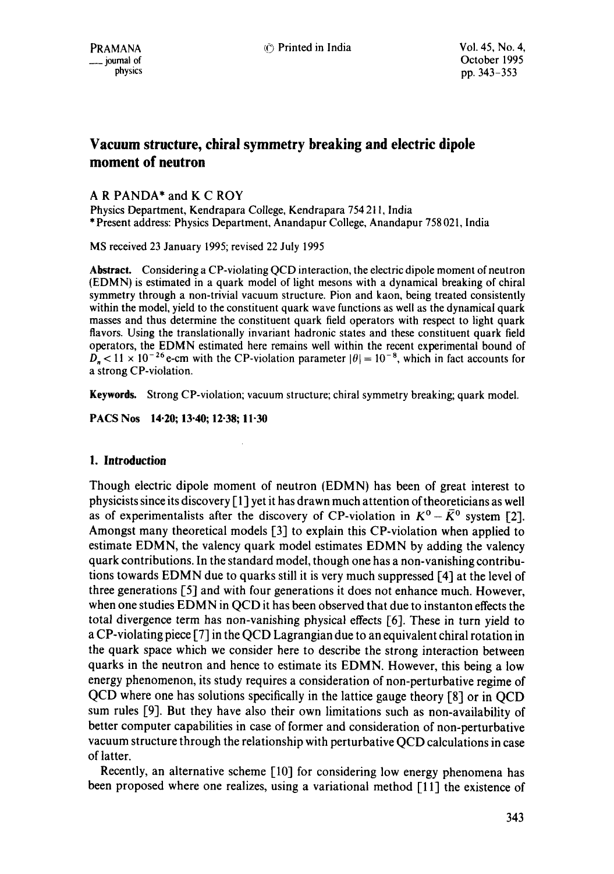# **Vacuum structure, chiral symmetry breaking and electric dipole moment of neutron**

# A R PANDA\* and K C ROY

Physics Department, Kendrapara College, Kendrapara 754 211, India \* Present address: Physics Department, Anandapur College, Anandapur 758 021, India

MS received 23 January 1995; revised 22 July 1995

**Abstract.** Considering a CP-violating QCD interaction, the electric dipole moment of neutron (EDMN) is estimated in a quark model of light mesons with a dynamical breaking of chiral symmetry through a non-trivial vacuum structure. Pion and kaon, being treated consistently within the model, yield to the constituent quark wave functions as well as the dynamical quark masses and thus determine the constituent quark field operators with respect to light quark flavors. Using the translationally invariant hadronic states and these constituent quark field operators, the EDMN estimated here remains well within the recent experimental bound of  $D_n < 11 \times 10^{-26}$  e-cm with the CP-violation parameter  $|\theta| = 10^{-8}$ , which in fact accounts for a strong CP-violation.

**Keywords.** Strong CP-violation; vacuum structure; chiral symmetry breaking; quark model.

**PACS Nos 14.20; 13.40; 12-38; 11-30** 

## **1. Introduction**

Though electric dipole moment of neutron (EDMN) has been of great interest to physicists since its discovery  $\lceil 1 \rceil$  yet it has drawn much attention of theoreticians as well as of experimentalists after the discovery of CP-violation in  $K^0 - \bar{K}^0$  system [2]. Amongst many theoretical models [3] to explain this CP-violation when applied to estimate EDMN, the valency quark model estimates EDMN by adding the valency quark contributions. In the standard model, though one has a non-vanishing contributions towards EDMN due to quarks still it is very much suppressed I-4] at the level of three generations [5] and with four generations it does not enhance much. However, when one studies EDMN in QCD it has been observed that due to instanton effects the total divergence term has non-vanishing physical effects  $[6]$ . These in turn yield to a CP-violating piece [7] in the QCD Lagrangian due to an equivalent chiral rotation in the quark space which we consider here to describe the strong interaction **between**  quarks in the neutron and hence to estimate its EDMN. However, this being a low energy phenomenon, its study requires a consideration of non-perturbative regime of QCD where one has solutions specifically in the lattice gauge theory [8] or in QCD sum rules [9]. But they have also their own limitations such as non-availability of better computer capabilities in case of former and consideration of non-perturbative vacuum structure through the relationship with perturbative QCD calculations in case of latter.

Recently, an alternative scheme [10] for considering low energy phenomena has been proposed where one realizes, using a variational method [11] the existence of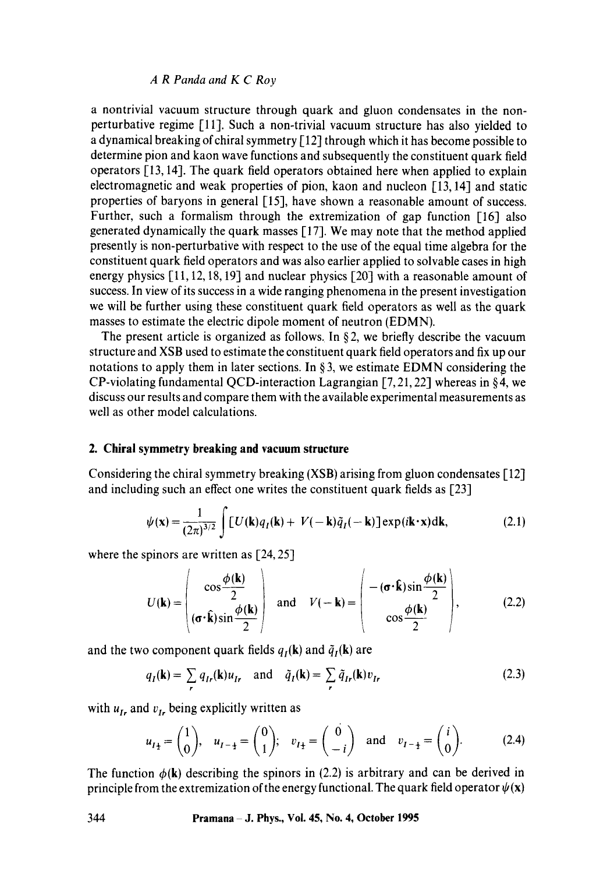a nontrivial vacuum structure through quark and gluon condensates in the nonperturbative regime [11]. Such a non-trivial vacuum structure has also yielded to a dynamical breaking of chiral symmetry [12] through which it has become possible to determine pion and kaon wave functions and subsequently the constituent quark field operators [13, 14]. The quark field operators obtained here when applied to explain electromagnetic and weak properties of pion, kaon and nucleon [13, 14] and static properties of baryons in general [15], have shown a reasonable amount of success. Further, such a formalism through the extremization of gap function [16] also generated dynamically the quark masses [17]. We may note that the method applied presently is non-perturbative with respect to the use of the equal time algebra for the constituent quark field operators and was also earlier applied to solvable cases in high energy physics [11, 12, 18, 19] and nuclear physics [20] with a reasonable amount of success. In view of its success in a wide ranging phenomena in the present investigation we will be further using these constituent quark field operators as well as the quark masses to estimate the electric dipole moment of neutron (EDMN).

The present article is organized as follows. In  $\S 2$ , we briefly describe the vacuum structure and XSB used to estimate the constituent quark field operators and fix up our notations to apply them in later sections, In § 3, we estimate EDMN considering the CP-violating fundamental QCD-interaction Lagrangian [7, 21, 22] whereas in § 4, we discuss our results and compare them with the available experimental measurements as well as other model calculations.

#### **2. Chirai symmetry breaking and vacuum structure**

Considering the chiral symmetry breaking (XSB) arising from gluon condensates [12] and including such an effect one writes the constituent quark fields as [23]

$$
\psi(\mathbf{x}) = \frac{1}{(2\pi)^{3/2}} \int [U(\mathbf{k})q_I(\mathbf{k}) + V(-\mathbf{k})\tilde{q}_I(-\mathbf{k})] \exp(i\mathbf{k} \cdot \mathbf{x}) d\mathbf{k},
$$
 (2.1)

where the spinors are written as [24, 25]

$$
U(\mathbf{k}) = \begin{pmatrix} \cos\frac{\phi(\mathbf{k})}{2} \\ (\sigma \cdot \hat{\mathbf{k}}) \sin\frac{\phi(\mathbf{k})}{2} \end{pmatrix} \text{ and } V(-\mathbf{k}) = \begin{pmatrix} -(\sigma \cdot \hat{\mathbf{k}}) \sin\frac{\phi(\mathbf{k})}{2} \\ \cos\frac{\phi(\mathbf{k})}{2} \end{pmatrix},
$$
(2.2)

and the two component quark fields  $q_I(k)$  and  $\tilde{q}_I(k)$  are

$$
q_I(\mathbf{k}) = \sum_r q_{Ir}(\mathbf{k}) u_{Ir} \text{ and } \tilde{q}_I(\mathbf{k}) = \sum_r \tilde{q}_{Ir}(\mathbf{k}) v_{Ir}
$$
 (2.3)

with  $u_{I_r}$  and  $v_{I_r}$  being explicitly written as

$$
u_{I_{\pm}} = \begin{pmatrix} 1 \\ 0 \end{pmatrix}, u_{I_{-\pm}} = \begin{pmatrix} 0 \\ 1 \end{pmatrix}; v_{I_{\pm}} = \begin{pmatrix} 0 \\ -i \end{pmatrix} \text{ and } v_{I_{-\pm}} = \begin{pmatrix} i \\ 0 \end{pmatrix}.
$$
 (2.4)

The function  $\phi(\mathbf{k})$  describing the spinors in (2.2) is arbitrary and can be derived in principle from the extremization of the energy functional. The quark field operator  $\psi(\mathbf{x})$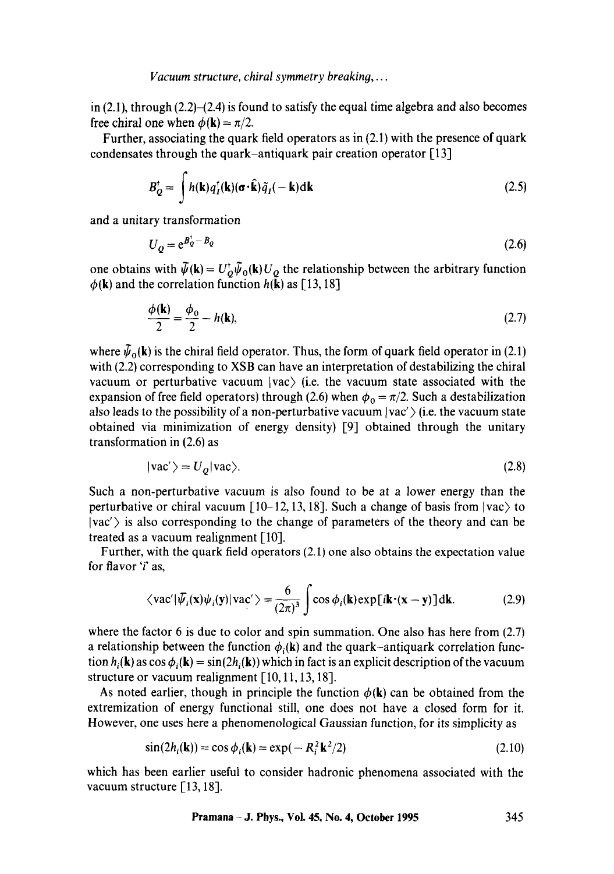in  $(2.1)$ , through  $(2.2)$ - $(2.4)$  is found to satisfy the equal time algebra and also becomes free chiral one when  $\phi(\mathbf{k}) = \pi/2$ .

Further, associating the quark field operators as in (2.1) with the presence of quark condensates through the quark-antiquark pair creation operator [13]

$$
B_Q^{\dagger} = \int h(\mathbf{k}) q_I^{\dagger}(\mathbf{k}) (\sigma \cdot \hat{\mathbf{k}}) \tilde{q}_I(-\mathbf{k}) \mathrm{d}\mathbf{k}
$$
 (2.5)

and a unitary transformation

$$
U_o = e^{B_o^+ - B_o} \tag{2.6}
$$

one obtains with  $\bar{\psi}(\mathbf{k}) = U_0^{\dagger} \bar{\psi}_0(\mathbf{k}) U_0$  the relationship between the arbitrary function  $\phi(\mathbf{k})$  and the correlation function  $h(\mathbf{k})$  as [13, 18]

$$
\frac{\phi(\mathbf{k})}{2} = \frac{\phi_0}{2} - h(\mathbf{k}),\tag{2.7}
$$

where  $\tilde{\psi}_{0}(\mathbf{k})$  is the chiral field operator. Thus, the form of quark field operator in (2.1) with (2.2) corresponding to XSB can have an interpretation of destabilizing the chiral vacuum or perturbative vacuum  $|vac\rangle$  (i.e. the vacuum state associated with the expansion of free field operators) through (2.6) when  $\phi_0 = \pi/2$ . Such a destabilization also leads to the possibility of a non-perturbative vacuum  $|vac'\rangle$  (i.e. the vacuum state obtained via minimization of energy density) [9] obtained through the unitary transformation in (2.6) as

$$
|vac'\rangle = U_Q |vac\rangle. \tag{2.8}
$$

Such a non-perturbative vacuum is also found to be at a lower energy than the perturbative or chiral vacuum  $[10-12, 13, 18]$ . Such a change of basis from  $|vac\rangle$  to  $|vac\rangle$  is also corresponding to the change of parameters of the theory and can be treated as a vacuum realignment [10].

Further, with the quark field operators (2.1) one also obtains the expectation value for flavor 'i' as,

$$
\langle vac'|\bar{\psi}_i(\mathbf{x})\psi_i(\mathbf{y})|vac'\rangle = \frac{6}{(2\pi)^3}\int \cos\phi_i(\mathbf{k})\exp[i\mathbf{k}\cdot(\mathbf{x}-\mathbf{y})]\mathrm{d}\mathbf{k}.\tag{2.9}
$$

where the factor 6 is due to color and spin summation. One also has here from  $(2.7)$ a relationship between the function  $\phi_i(k)$  and the quark-antiquark correlation function  $h_i(\mathbf{k})$  as  $\cos \phi_i(\mathbf{k}) = \sin(2h_i(\mathbf{k}))$  which in fact is an explicit description of the vacuum structure or vacuum realignment [10, 11, 13, 18].

As noted earlier, though in principle the function  $\phi(\mathbf{k})$  can be obtained from the extremization of energy functional still, one does not have a closed form for it. However, one uses here a phenomenological Gaussian function, for its simplicity as

$$
\sin(2h_i(\mathbf{k})) = \cos\phi_i(\mathbf{k}) = \exp(-R_i^2 \mathbf{k}^2/2)
$$
\n(2.10)

which has been earlier useful to consider hadronic phenomena associated with the vacuum structure [13, 18].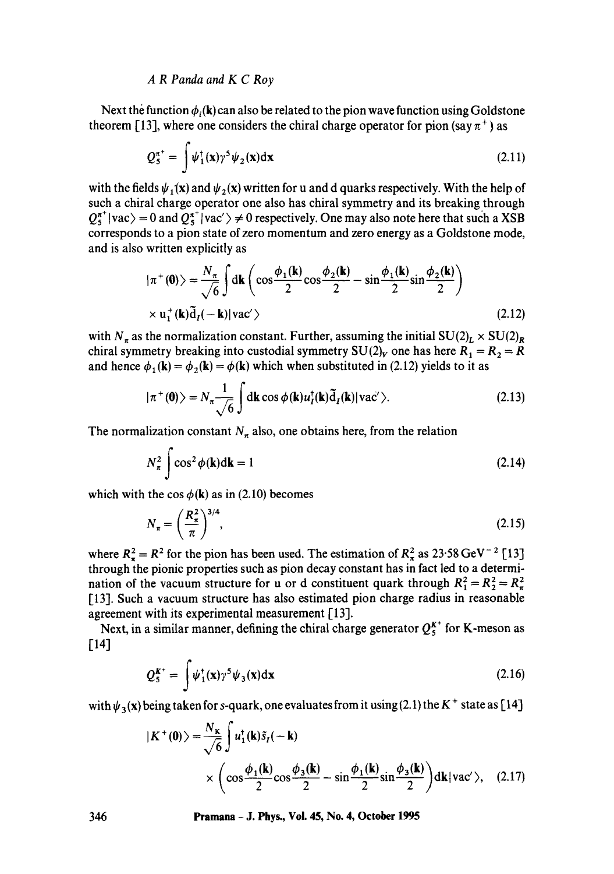Next the function  $\phi_i(\mathbf{k})$  can also be related to the pion wave function using Goldstone theorem [13], where one considers the chiral charge operator for pion (say  $\pi^+$ ) as

$$
Q_5^{\pi^+} = \int \psi_1^{\dagger}(\mathbf{x}) \gamma^5 \psi_2(\mathbf{x}) d\mathbf{x}
$$
 (2.11)

with the fields  $\psi_1(x)$  and  $\psi_2(x)$  written for u and d quarks respectively. With the help of such a chiral charge operator one also has chiral symmetry and its breaking through  $Q_5^{\pi^+}$  vac) = 0 and  $Q_5^{\pi^+}$  vac')  $\neq$  0 respectively. One may also note here that such a XSB corresponds to a pion state of zero momentum and zero energy as a Goldstone mode, and is also written explicitly as

$$
|\pi^+(0)\rangle = \frac{N_\pi}{\sqrt{6}} \int d\mathbf{k} \left( \cos \frac{\phi_1(\mathbf{k})}{2} \cos \frac{\phi_2(\mathbf{k})}{2} - \sin \frac{\phi_1(\mathbf{k})}{2} \sin \frac{\phi_2(\mathbf{k})}{2} \right)
$$
  
× u<sub>1</sub><sup>+</sup>(**k**)\tilde{d}<sub>I</sub>(-**k**)|vac' \rangle (2.12)

with  $N_{\pi}$  as the normalization constant. Further, assuming the initial  $SU(2)_L \times SU(2)_R$ chiral symmetry breaking into custodial symmetry  $SU(2)_V$  one has here  $R_1 = R_2 = R$ and hence  $\phi_1(\mathbf{k}) = \phi_2(\mathbf{k}) = \phi(\mathbf{k})$  which when substituted in (2.12) yields to it as

$$
|\pi^+(0)\rangle = N_{\pi} \frac{1}{\sqrt{6}} \int d\mathbf{k} \cos \phi(\mathbf{k}) u_I^{\dagger}(\mathbf{k}) \tilde{d}_I(\mathbf{k}) |\text{vac}'\rangle.
$$
 (2.13)

The normalization constant  $N_{\pi}$  also, one obtains here, from the relation

$$
N_{\pi}^{2} \int \cos^{2} \phi(\mathbf{k}) d\mathbf{k} = 1
$$
 (2.14)

which with the  $\cos \phi$ (k) as in (2.10) becomes

$$
N_{\pi} = \left(\frac{R_{\pi}^2}{\pi}\right)^{3/4},
$$
\n(2.15)

where  $R_{\pi}^2 = R^2$  for the pion has been used. The estimation of  $R_{\pi}^2$  as 23.58 GeV<sup>-2</sup> [13] through the pionic properties such as pion decay constant has in fact led to a determination of the vacuum structure for u or d constituent quark through  $R_1^2 = R_2^2 = R_\pi^2$ [13]. Such a vacuum structure has also estimated pion charge radius in reasonable agreement with its experimental measurement [13].

Next, in a similar manner, defining the chiral charge generator  $Q_5^{K^+}$  for K-meson as  $[14]$ 

$$
Q_5^{K^+} = \int \psi_1^{\dagger}(\mathbf{x}) \gamma^5 \psi_3(\mathbf{x}) d\mathbf{x}
$$
 (2.16)

with  $\psi_3(x)$  being taken for s-quark, one evaluates from it using (2.1) the K<sup>+</sup> state as [14]

$$
|K^+(0)\rangle = \frac{N_K}{\sqrt{6}} \int u_1^*(\mathbf{k}) \tilde{s}_1(-\mathbf{k})
$$
  
 
$$
\times \left(\cos\frac{\phi_1(\mathbf{k})}{2}\cos\frac{\phi_3(\mathbf{k})}{2} - \sin\frac{\phi_1(\mathbf{k})}{2}\sin\frac{\phi_3(\mathbf{k})}{2}\right) d\mathbf{k} |\text{vac}'\rangle, \quad (2.17)
$$

**346 Pramana - J. Phys., Vol. 45, No. 4, October 1995**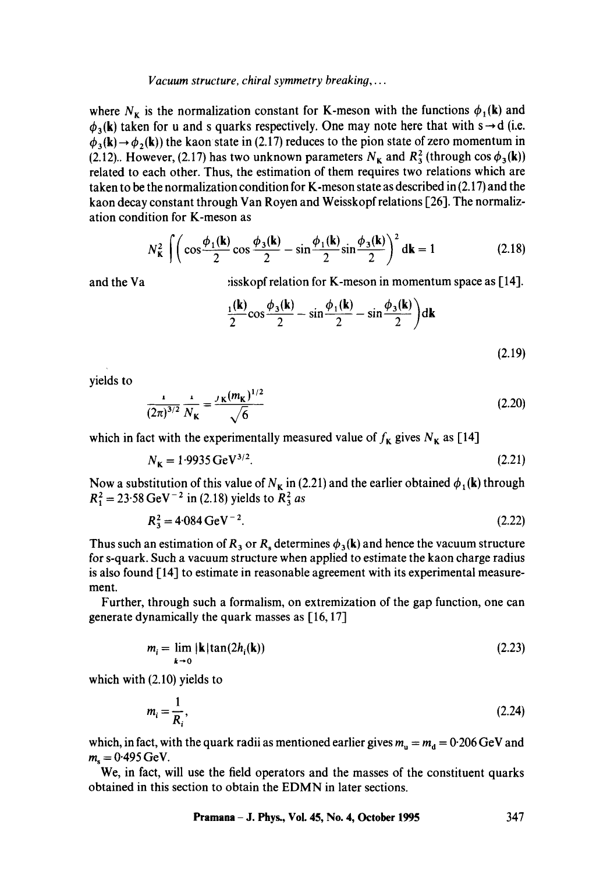#### *Vacuum structure, chiral symmetry breaking,...*

where  $N<sub>K</sub>$  is the normalization constant for K-meson with the functions  $\phi_1(\mathbf{k})$  and  $\phi_3(k)$  taken for u and s quarks respectively. One may note here that with s  $\rightarrow$  d (i.e.  $\phi_3(\mathbf{k}) \rightarrow \phi_2(\mathbf{k})$ ) the kaon state in (2.17) reduces to the pion state of zero momentum in (2.12). However, (2.17) has two unknown parameters  $N_{\kappa}$  and  $R_3^2$  (through cos  $\phi_3(\mathbf{k})$ ) related to each other. Thus, the estimation of them requires two relations which are taken to be the normalization condition for K-meson state as described in (2.17) and the kaon decay constant through Van Royen and Weisskopf relations [26]. The normalization condition for K-meson as

$$
N_{\mathbf{K}}^2 \int \left( \cos \frac{\phi_1(\mathbf{k})}{2} \cos \frac{\phi_3(\mathbf{k})}{2} - \sin \frac{\phi_1(\mathbf{k})}{2} \sin \frac{\phi_3(\mathbf{k})}{2} \right)^2 d\mathbf{k} = 1
$$
 (2.18)

and the Va  $\qquad \qquad$ : isskopf relation for K-meson in momentum space as [14].

$$
\frac{1(\mathbf{k})}{2}\cos\frac{\phi_3(\mathbf{k})}{2} - \sin\frac{\phi_1(\mathbf{k})}{2} - \sin\frac{\phi_3(\mathbf{k})}{2}\bigg) d\mathbf{k}
$$
\n(2.19)

yields to

$$
\frac{1}{(2\pi)^{3/2}} \frac{1}{N_{\mathbf{K}}} = \frac{J_{\mathbf{K}}(m_{\mathbf{K}})^{1/2}}{\sqrt{6}}
$$
(2.20)

which in fact with the experimentally measured value of  $f_{\kappa}$  gives  $N_{\kappa}$  as [14]

$$
N_{\rm K} = 1.9935 \,\rm GeV^{3/2}.\tag{2.21}
$$

Now a substitution of this value of  $N<sub>K</sub>$  in (2.21) and the earlier obtained  $\phi<sub>1</sub>(k)$  through  $R_1^2 = 23.58 \text{ GeV}^{-2}$  in (2.18) yields to  $R_3^2$  as

$$
R_3^2 = 4.084 \,\text{GeV}^{-2}.\tag{2.22}
$$

Thus such an estimation of R<sub>3</sub> or R<sub>s</sub> determines  $\phi_3(k)$  and hence the vacuum structure for s-quark. Such a vacuum structure when applied to estimate the kaon charge radius is also found [14] to estimate in reasonable agreement with its experimental measurement.

Further, through such a formalism, on extremization of the gap function, one can generate dynamically the quark masses as [16, 17]

$$
m_i = \lim_{k \to 0} |\mathbf{k}| \tan(2h_i(\mathbf{k})) \tag{2.23}
$$

which with (2.10) yields to

$$
m_i = \frac{1}{R_i},\tag{2.24}
$$

which, in fact, with the quark radii as mentioned earlier gives  $m_u = m_d = 0.206$  GeV and  $m_{\rm s} = 0.495 \,\text{GeV}.$ 

We, in fact, will use the field operators and the masses of the constituent quarks obtained in this section to obtain the EDMN in later sections.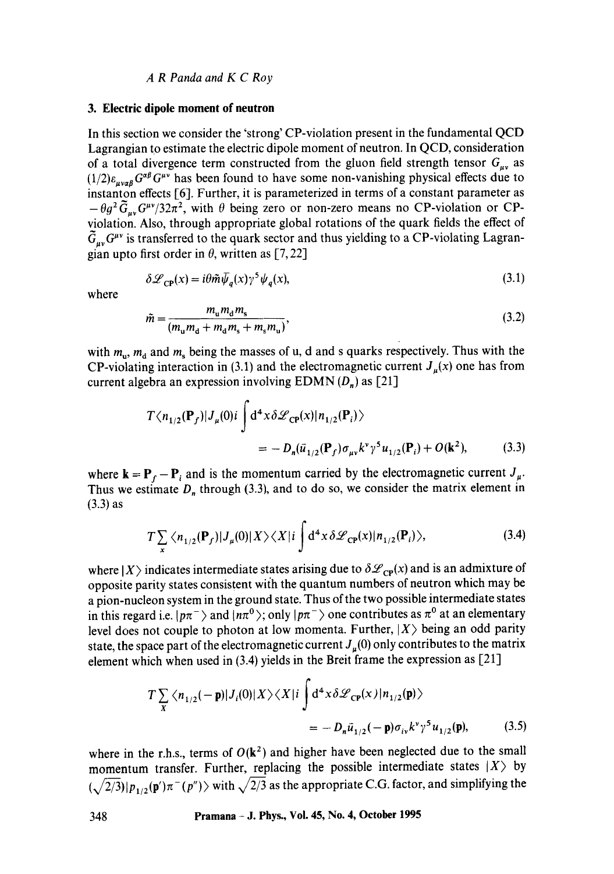#### **3. Electric dipole moment of neutron**

In this section we consider the 'strong' CP-violation present in the fundamental QCD Lagrangian to estimate the electric dipole moment of neutron. In QCD, consideration of a total divergence term constructed from the gluon field strength tensor  $G_{\mu\nu}$  as  $(1/2)\varepsilon_{\text{avg}} G^{\alpha\beta} G^{\mu\nu}$  has been found to have some non-vanishing physical effects due to instanton effects [6]. Further, it is parameterized in terms of a constant parameter as  $-\theta g^2 \tilde{G}_{\mu\nu} G^{\mu\nu}/32\pi^2$ , with  $\theta$  being zero or non-zero means no CP-violation or CPviolation. Also, through appropriate global rotations of the quark fields the effect of  $\tilde{G}_{\mu\nu}G^{\mu\nu}$  is transferred to the quark sector and thus yielding to a CP-violating Lagrangian upto first order in  $\theta$ , written as [7,22]

$$
\delta \mathcal{L}_{\mathbf{CP}}(x) = i\theta \tilde{m} \bar{\psi}_q(x) \gamma^5 \psi_q(x),\tag{3.1}
$$

where

$$
\tilde{m} = \frac{m_{\rm u} m_{\rm d} m_{\rm s}}{(m_{\rm u} m_{\rm d} + m_{\rm d} m_{\rm s} + m_{\rm s} m_{\rm u})},\tag{3.2}
$$

with  $m_{\rm u}$ ,  $m_{\rm d}$  and  $m_{\rm s}$  being the masses of u, d and s quarks respectively. Thus with the CP-violating interaction in (3.1) and the electromagnetic current  $J<sub>\mu</sub>(x)$  one has from current algebra an expression involving  $EDMN(D_n)$  as [21]

$$
T \langle n_{1/2}(\mathbf{P}_f) | J_{\mu}(0) i \int d^4 x \delta \mathcal{L}_{\text{CP}}(x) | n_{1/2}(\mathbf{P}_i) \rangle
$$
  
= 
$$
- D_n(\bar{u}_{1/2}(\mathbf{P}_f) \sigma_{\mu\nu} k^{\nu} \gamma^5 u_{1/2}(\mathbf{P}_i) + O(\mathbf{k}^2),
$$
 (3.3)

where  $\mathbf{k} = \mathbf{P}_f - \mathbf{P}_i$  and is the momentum carried by the electromagnetic current  $J_\mu$ . Thus we estimate  $D_n$  through (3.3), and to do so, we consider the matrix element in (3.3) as

$$
T\sum_{\mathbf{x}}\langle n_{1/2}(\mathbf{P}_f)|J_{\mu}(0)|X\rangle\langle X|i\int d^4x \,\delta\mathscr{L}_{\mathbf{CP}}(x)|n_{1/2}(\mathbf{P}_i)\rangle,\tag{3.4}
$$

where  $|X\rangle$  indicates intermediate states arising due to  $\delta\mathcal{L}_{CP}(x)$  and is an admixture of opposite parity states consistent wiih the quantum numbers of neutron which may be a pion-nucleon system in the ground state. Thus of the two possible intermediate states in this regard i.e.  $|p\pi^{-}\rangle$  and  $|n\pi^{0}\rangle$ ; only  $|p\pi^{-}\rangle$  one contributes as  $\pi^{0}$  at an elementary level does not couple to photon at low momenta. Further,  $|X\rangle$  being an odd parity state, the space part of the electromagnetic current  $J_u(0)$  only contributes to the matrix element which when used in (3.4) yields in the Breit frame the expression as [21]

$$
T\sum_{X} \langle n_{1/2}(-\mathbf{p})|J_i(0)|X\rangle \langle X|i \int d^4x \delta \mathcal{L}_{\mathbf{CP}}(x)|n_{1/2}(\mathbf{p})\rangle
$$
  
= 
$$
-D_n \bar{u}_{1/2}(-\mathbf{p})\sigma_{iv}k^{\nu}\gamma^5 u_{1/2}(\mathbf{p}),
$$
(3.5)

where in the r.h.s., terms of  $O(k^2)$  and higher have been neglected due to the small momentum transfer. Further, replacing the possible intermediate states  $|X\rangle$  by  $(\sqrt{2/3})|p_{1/2}(\mathbf{p}')\pi^{-}(p'')\rangle$  with  $\sqrt{2/3}$  as the appropriate C.G. factor, and simplifying the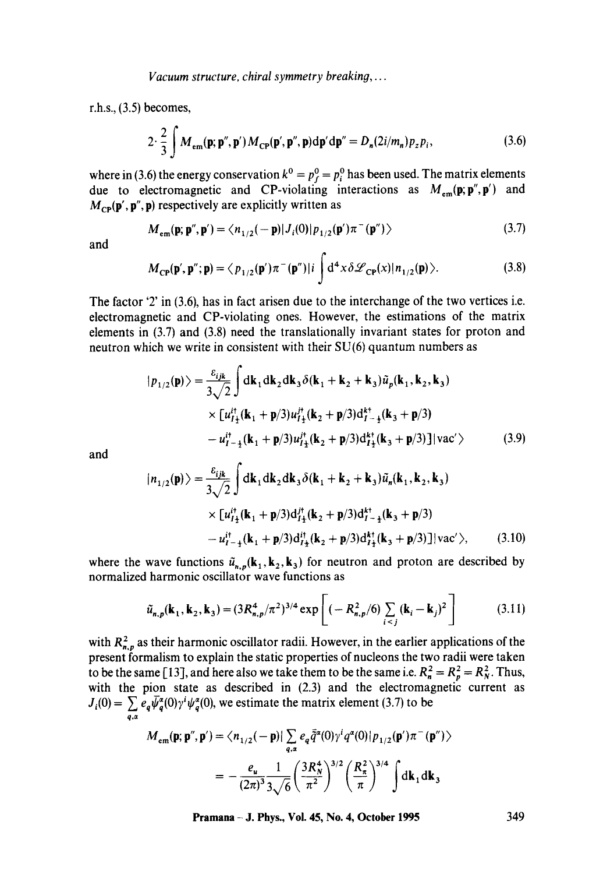r.h.s., (3.5) becomes,

$$
2 \cdot \frac{2}{3} \int M_{\rm em}(\mathbf{p}; \mathbf{p}'', \mathbf{p}') M_{\rm CP}(\mathbf{p}', \mathbf{p}'', \mathbf{p}) d\mathbf{p}' d\mathbf{p}'' = D_n(2i/m_n) p_z p_i,
$$
 (3.6)

where in (3.6) the energy conservation  $k^0 = p_f^0 = p_i^0$  has been used. The matrix elements due to electromagnetic and CP-violating interactions as  $M_{\rm cm}(\mathbf{p}; \mathbf{p}'', \mathbf{p}')$  and  $M_{\text{CP}}(\mathbf{p}', \mathbf{p}'', \mathbf{p})$  respectively are explicitly written as

$$
M_{\rm em}(\mathbf{p}; \mathbf{p}'', \mathbf{p}') = \langle n_{1/2}(-\mathbf{p})|J_i(0)|p_{1/2}(\mathbf{p}')\pi^-(\mathbf{p}'')\rangle
$$
 (3.7)

and

$$
M_{\rm CP}(\mathbf{p}',\mathbf{p}'';\mathbf{p}) = \langle p_{1/2}(\mathbf{p}')\pi^-(\mathbf{p}'')|i\int d^4x \delta \mathscr{L}_{\rm CP}(x)|n_{1/2}(\mathbf{p})\rangle.
$$
 (3.8)

The factor '2' in (3.6), has in fact arisen due to the interchange of the two vertices i.e. electromagnetic and CP-violating ones. However, the estimations of the matrix elements in (3.7) and (3.8) need the translationally invariant states for proton and neutron which we write in consistent with their SU(6) quantum numbers as

$$
|p_{1/2}(\mathbf{p})\rangle = \frac{\varepsilon_{ijk}}{3\sqrt{2}} \int d\mathbf{k}_1 d\mathbf{k}_2 d\mathbf{k}_3 \delta(\mathbf{k}_1 + \mathbf{k}_2 + \mathbf{k}_3) \tilde{u}_p(\mathbf{k}_1, \mathbf{k}_2, \mathbf{k}_3)
$$
  
 
$$
\times [u_{I_1}^{i\dagger}(\mathbf{k}_1 + \mathbf{p}/3) u_{I_1}^{i\dagger}(\mathbf{k}_2 + \mathbf{p}/3) d_{I-\frac{1}{2}}^{k\dagger}(\mathbf{k}_3 + \mathbf{p}/3)
$$
  
- 
$$
u_{I-\frac{1}{2}}^{i\dagger}(\mathbf{k}_1 + \mathbf{p}/3) u_{I_1}^{i\dagger}(\mathbf{k}_2 + \mathbf{p}/3) d_{I_2}^{k\dagger}(\mathbf{k}_3 + \mathbf{p}/3)] |vac'\rangle
$$
 (3.9)

and

$$
|n_{1/2}(\mathbf{p})\rangle = \frac{\varepsilon_{ijk}}{3\sqrt{2}} \int d\mathbf{k}_1 d\mathbf{k}_2 d\mathbf{k}_3 \delta(\mathbf{k}_1 + \mathbf{k}_2 + \mathbf{k}_3) \tilde{u}_n(\mathbf{k}_1, \mathbf{k}_2, \mathbf{k}_3)
$$
  
 
$$
\times [u_{I\pm}^{it}(\mathbf{k}_1 + \mathbf{p}/3) d_{I\pm}^{it}(\mathbf{k}_2 + \mathbf{p}/3) d_{I-\pm}^{kt}(\mathbf{k}_3 + \mathbf{p}/3)
$$
  
-  $u_{I-\pm}^{it}(\mathbf{k}_1 + \mathbf{p}/3) d_{I\pm}^{it}(\mathbf{k}_2 + \mathbf{p}/3) d_{I\pm}^{kt}(\mathbf{k}_3 + \mathbf{p}/3)] |vac'\rangle,$  (3.10)

where the wave functions  $\tilde{u}_{n,p}(\mathbf{k}_1,\mathbf{k}_2,\mathbf{k}_3)$  for neutron and proton are described by normalized harmonic oscillator wave functions as

$$
\tilde{u}_{n,p}(\mathbf{k}_1, \mathbf{k}_2, \mathbf{k}_3) = (3R_{n,p}^4/\pi^2)^{3/4} \exp\left[ (-R_{n,p}^2/6) \sum_{i < j} (\mathbf{k}_i - \mathbf{k}_j)^2 \right] \tag{3.11}
$$

with  $R_{n,p}^2$  as their harmonic oscillator radii. However, in the earlier applications of the present formalism to explain the static properties of nucleons the two radii were taken to be the same [13], and here also we take them to be the same i.e.  $R_n^2 = R_p^2 = R_N^2$ . Thus, with the pion state as described in (2.3) and the electromagnetic current as  $J_i(0) = \int e_a \psi_a^{\alpha}(0) \gamma^i \psi_a^{\alpha}(0)$ , we estimate the matrix element (3.7) to be  $q, \alpha$ 

$$
M_{\rm em}(\mathbf{p}; \mathbf{p}'', \mathbf{p}') = \langle n_{1/2}(-\mathbf{p})| \sum_{q, \alpha} e_q \bar{\tilde{q}}^{\alpha}(0) \gamma^i q^{\alpha}(0) | p_{1/2}(\mathbf{p}') \pi^-(\mathbf{p}'') \rangle
$$
  
= 
$$
- \frac{e_u}{(2\pi)^3} \frac{1}{3\sqrt{6}} \left( \frac{3R_N^4}{\pi^2} \right)^{3/2} \left( \frac{R_\pi^2}{\pi} \right)^{3/4} \int d\mathbf{k}_1 d\mathbf{k}_3
$$

**Pramana - J. Phys., Vol. 45, No. 4, October 1995 349**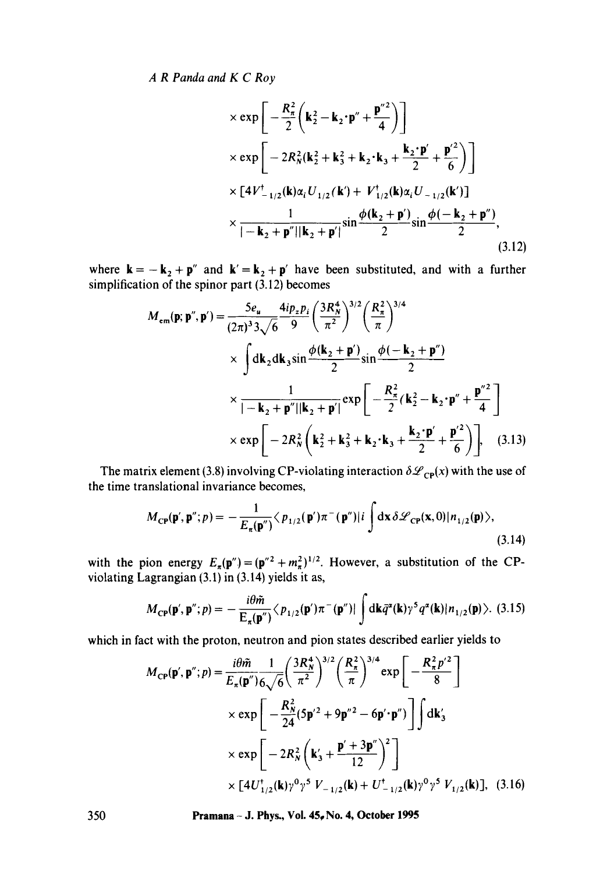$$
\times \exp \left[ -\frac{R_{\pi}^{2}}{2} \left( \mathbf{k}_{2}^{2} - \mathbf{k}_{2} \cdot \mathbf{p}'' + \frac{\mathbf{p}''^{2}}{4} \right) \right] \times \exp \left[ -2R_{N}^{2} (\mathbf{k}_{2}^{2} + \mathbf{k}_{3}^{2} + \mathbf{k}_{2} \cdot \mathbf{k}_{3} + \frac{\mathbf{k}_{2} \cdot \mathbf{p}'}{2} + \frac{\mathbf{p}'^{2}}{6} \right] \right] \times \left[ 4V_{-1/2}^{\dagger} (\mathbf{k}) \alpha_{i} U_{1/2} (\mathbf{k}') + V_{1/2}^{\dagger} (\mathbf{k}) \alpha_{i} U_{-1/2} (\mathbf{k}')] \times \frac{1}{|- \mathbf{k}_{2} + \mathbf{p}'' || \mathbf{k}_{2} + \mathbf{p}' |} \sin \frac{\phi(\mathbf{k}_{2} + \mathbf{p}')}{2} \sin \frac{\phi(-\mathbf{k}_{2} + \mathbf{p}'')}{2}, \tag{3.12}
$$

where  $\mathbf{k} = -\mathbf{k}_2 + \mathbf{p}''$  and  $\mathbf{k}' = \mathbf{k}_2 + \mathbf{p}'$  have been substituted, and with a further simplification of the spinor part  $(3.12)$  becomes

$$
M_{\rm em}(\mathbf{p}; \mathbf{p}'', \mathbf{p}') = \frac{5e_{u}}{(2\pi)^{3}3\sqrt{6}} \frac{4ip_{z}p_{i}}{9} \left(\frac{3R_{N}^{4}}{\pi^{2}}\right)^{3/2} \left(\frac{R_{\pi}^{2}}{\pi}\right)^{3/4}
$$
  
 
$$
\times \int d\mathbf{k}_{2} d\mathbf{k}_{3} \sin \frac{\phi(\mathbf{k}_{2} + \mathbf{p}')}{2} \sin \frac{\phi(-\mathbf{k}_{2} + \mathbf{p}'')}{2}
$$
  
 
$$
\times \frac{1}{|- \mathbf{k}_{2} + \mathbf{p}'' || \mathbf{k}_{2} + \mathbf{p}' |} \exp\left[-\frac{R_{\pi}^{2}}{2} (\mathbf{k}_{2}^{2} - \mathbf{k}_{2} \cdot \mathbf{p}'' + \frac{\mathbf{p}''^{2}}{4}\right]
$$
  
 
$$
\times \exp\left[-2R_{N}^{2} (\mathbf{k}_{2}^{2} + \mathbf{k}_{3}^{2} + \mathbf{k}_{2} \cdot \mathbf{k}_{3} + \frac{\mathbf{k}_{2} \cdot \mathbf{p}'}{2} + \frac{\mathbf{p}'^{2}}{6}\right]\right], \quad (3.13)
$$

The matrix element (3.8) involving CP-violating interaction  $\delta\mathcal{L}_{CP}(x)$  with the use of the time translational invariance becomes,

$$
M_{\rm CP}(\mathbf{p}',\mathbf{p}'';p) = -\frac{1}{E_{\pi}(\mathbf{p}'')} \langle p_{1/2}(\mathbf{p}')\pi^{-}(\mathbf{p}'')|i \int dx \delta \mathscr{L}_{\rm CP}(\mathbf{x},0)|n_{1/2}(\mathbf{p})\rangle, \tag{3.14}
$$

with the pion energy  $E_{\pi}(\mathbf{p}'')=(\mathbf{p}''^2+m_{\pi}^2)^{1/2}$ . However, a substitution of the CPviolating Lagrangian (3.1) in (3.14) yields it as,

$$
M_{\mathbf{CP}}(\mathbf{p}',\mathbf{p}'';p) = -\frac{i\theta\tilde{m}}{\mathrm{E}_{\pi}(\mathbf{p}'')}\langle p_{1/2}(\mathbf{p}')\pi^{-}(\mathbf{p}'')|\int \mathrm{d}\mathbf{k}\bar{q}^{\alpha}(\mathbf{k})\gamma^{5}q^{\alpha}(\mathbf{k})|n_{1/2}(\mathbf{p})\rangle. (3.15)
$$

which in fact with the proton, neutron and pion states described earlier yields to

$$
M_{\rm CP}(\mathbf{p}',\mathbf{p}'';p) = \frac{i\theta \tilde{m}}{E_{\pi}(\mathbf{p}'')6\sqrt{6}} \left(\frac{3R_N^4}{\pi^2}\right)^{3/2} \left(\frac{R_\pi^2}{\pi}\right)^{3/4} \exp\left[-\frac{R_\pi^2 p'^2}{8}\right]
$$
  
×  $\exp\left[-\frac{R_N^2}{24}(5\mathbf{p}'^2 + 9\mathbf{p}''^2 - 6\mathbf{p}' \cdot \mathbf{p}'')\right] \int d\mathbf{k}_3'$   
×  $\exp\left[-2R_N^2\left(\mathbf{k}_3' + \frac{\mathbf{p}' + 3\mathbf{p}''}{12}\right)^2\right]$   
×  $[4U_{1/2}^{\dagger}(\mathbf{k})\gamma^0\gamma^5 V_{-1/2}(\mathbf{k}) + U_{-1/2}^{\dagger}(\mathbf{k})\gamma^0\gamma^5 V_{1/2}(\mathbf{k})],$  (3.16)

350 **Pramana - J. Phys., Vol. 45~ No. 4, October 1995**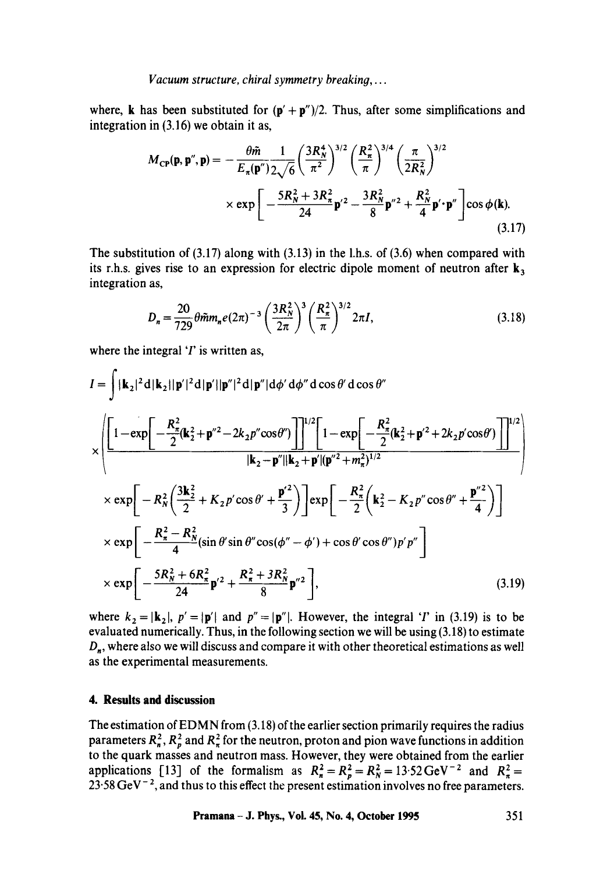*Vacuum structure, chiral symmetry breaking,...* 

where, k has been substituted for  $(p' + p'')/2$ . Thus, after some simplifications and integration in (3.16) we obtain it as,

$$
M_{\rm CP}(\mathbf{p}, \mathbf{p}'', \mathbf{p}) = -\frac{\theta \tilde{m}}{E_{\pi}(\mathbf{p}'') 2\sqrt{6}} \left(\frac{3R_N^4}{\pi^2}\right)^{3/2} \left(\frac{R_{\pi}^2}{\pi}\right)^{3/4} \left(\frac{\pi}{2R_N^2}\right)^{3/2} \times \exp\left[-\frac{5R_N^2 + 3R_{\pi}^2}{24}\mathbf{p}'^2 - \frac{3R_N^2}{8}\mathbf{p}''^2 + \frac{R_N^2}{4}\mathbf{p}'\cdot\mathbf{p}''\right]\cos\phi(\mathbf{k}).\tag{3.17}
$$

The substitution of  $(3.17)$  along with  $(3.13)$  in the l.h.s. of  $(3.6)$  when compared with its r.h.s. gives rise to an expression for electric dipole moment of neutron after  $\mathbf{k}_3$ integration as,

$$
D_n = \frac{20}{729} \theta \tilde{m} m_n e (2\pi)^{-3} \left(\frac{3R_N^2}{2\pi}\right)^3 \left(\frac{R_\pi^2}{\pi}\right)^{3/2} 2\pi I,
$$
 (3.18)

where the integral  $T$  is written as,

$$
I = \int |\mathbf{k}_2|^2 d|\mathbf{k}_2||\mathbf{p}'|^2 d|\mathbf{p}'| |\mathbf{p}''|^2 d|\mathbf{p}''| d\phi' d\phi'' d\cos\theta' d\cos\theta''
$$
  
\n
$$
\times \left( \frac{\left[1 - \exp\left[-\frac{R_{\pi}^2}{2} (\mathbf{k}_2^2 + \mathbf{p}''^2 - 2k_2 p'' \cos\theta'')\right]\right]^{1/2} \left[1 - \exp\left[-\frac{R_{\pi}^2}{2} (\mathbf{k}_2^2 + \mathbf{p}'^2 + 2k_2 p' \cos\theta')\right]\right]^{1/2}}{|\mathbf{k}_2 - \mathbf{p}''||\mathbf{k}_2 + \mathbf{p}'|(\mathbf{p}''^2 + m_{\pi}^2)^{1/2}} \right)}
$$
  
\n
$$
\times \exp\left[-R_N^2 \left(\frac{3\mathbf{k}_2^2}{2} + K_2 p' \cos\theta' + \frac{\mathbf{p}'^2}{3}\right)\right] \exp\left[-\frac{R_{\pi}^2}{2} (\mathbf{k}_2^2 - K_2 p'' \cos\theta'' + \frac{\mathbf{p}''^2}{4})\right]
$$
  
\n
$$
\times \exp\left[-\frac{R_{\pi}^2 - R_N^2}{4} (\sin\theta' \sin\theta'' \cos(\phi'' - \phi') + \cos\theta' \cos\theta'') p' p''\right]
$$
  
\n
$$
\times \exp\left[-\frac{5R_N^2 + 6R_{\pi}^2}{24} \mathbf{p}'^2 + \frac{R_{\pi}^2 + 3R_N^2}{8} \mathbf{p}''^2\right],
$$
\n(3.19)

where  $k_2 = |\mathbf{k}_2|$ ,  $p' = |\mathbf{p}'|$  and  $p'' = |\mathbf{p}''|$ . However, the integral '*I*' in (3.19) is to be evaluated numerically. Thus, in the following section we will be using (3.18) to estimate  $D_n$ , where also we will discuss and compare it with other theoretical estimations as well as the experimental measurements.

### **4. Results and discussion**

The estimation of EDMN from (3.18) of the earlier section primarily requires the radius parameters  $R_n^2$ ,  $R_n^2$  and  $R_n^2$  for the neutron, proton and pion wave functions in addition to the quark masses and neutron mass. However, they were obtained from the earlier applications [13] of the formalism as  $R_n^2 = R_n^2 = R_N^2 = 13.52 \text{ GeV}^{-2}$  and  $R_n^2 =$  $23.58 \,\mathrm{GeV}^{-2}$ , and thus to this effect the present estimation involves no free parameters.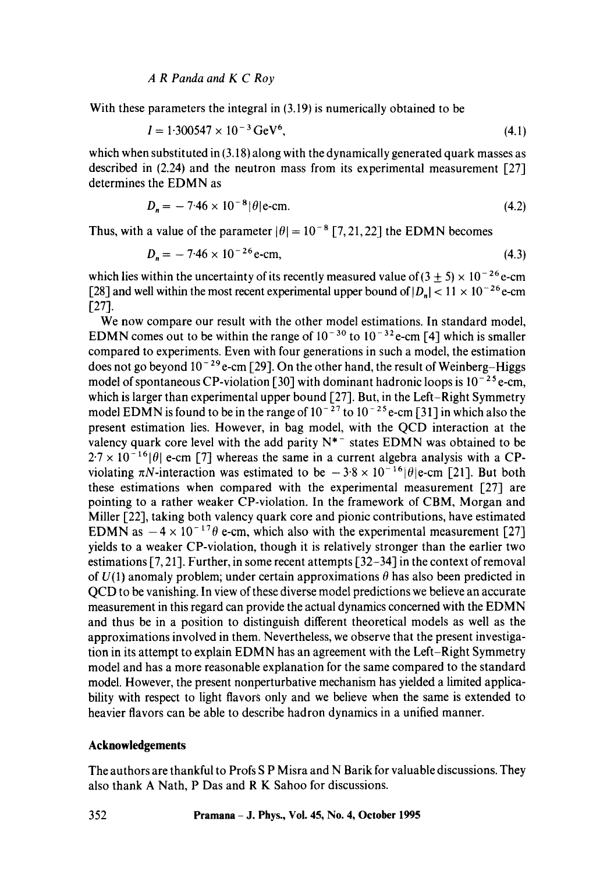With these parameters the integral in (3.19) is numerically obtained to be

$$
I = 1.300547 \times 10^{-3} \,\text{GeV}^6,\tag{4.1}
$$

which when substituted in (3.18) along with the dynamically generated quark masses as described in (2.24) and the neutron mass from its experimental measurement [27] determines the EDMN as

$$
D_n = -7.46 \times 10^{-8} |\theta| \text{e-cm.}
$$
 (4.2)

Thus, with a value of the parameter  $|\theta| = 10^{-8}$  [7, 21, 22] the EDMN becomes

$$
D_n = -7.46 \times 10^{-26} \,\text{e-cm},\tag{4.3}
$$

which lies within the uncertainty of its recently measured value of  $(3 \pm 5) \times 10^{-26}$  e-cm [28] and well within the most recent experimental upper bound of  $|D_n| < 11 \times 10^{-26}$  e-cm [27].

We now compare our result with the other model estimations. In standard model, EDMN comes out to be within the range of  $10^{-30}$  to  $10^{-32}$  e-cm [4] which is smaller compared to experiments. Even with four generations in such a model, the estimation does not go beyond  $10^{-29}$  e-cm [29]. On the other hand, the result of Weinberg–Higgs model of spontaneous CP-violation [30] with dominant hadronic loops is  $10^{-25}$  e-cm, which is larger than experimental upper bound [27]. But, in the Left-Right Symmetry model EDMN is found to be in the range of  $10^{-27}$  to  $10^{-25}$  e-cm [31] in which also the present estimation lies. However, in bag model, with the QCD interaction at the valency quark core level with the add parity  $N^*$  states EDMN was obtained to be  $2.7 \times 10^{-16}$  e-cm [7] whereas the same in a current algebra analysis with a CPviolating  $\pi N$ -interaction was estimated to be  $-3.8 \times 10^{-16}$  [ $\theta$ ]e-cm [21]. But both these estimations when compared with the experimental measurement [27] are pointing to a rather weaker CP-violation. In the framework of CBM, Morgan and Miller [22], taking both valency quark core and pionic contributions, have estimated EDMN as  $-4 \times 10^{-17} \theta$  e-cm, which also with the experimental measurement [27] yields to a weaker CP-violation, though it is relatively stronger than the earlier two estimations [7, 21]. Further, in some recent attempts [32-34] in the context of removal of  $U(1)$  anomaly problem; under certain approximations  $\theta$  has also been predicted in QCD to be vanishing. In view of these diverse model predictions we believe an accurate measurement in this regard can provide the actual dynamics concerned with the EDMN and thus be in a position to distinguish different theoretical models as well as the approximations involved in them. Nevertheless, we observe that the present investigation in its attempt to explain EDMN has an agreement with the Left-Right Symmetry model and has a more reasonable explanation for the same compared to the standard model. However, the present nonperturbative mechanism has yielded a limited applicability with respect to light flavors only and we believe when the same is extended to heavier flavors can be able to describe hadron dynamics in a unified manner.

# **Acknowledgements**

The authors are thankful to Profs S P Misra and N Barik for valuable discussions. They also thank A Nath, P Das and R K Sahoo for discussions.